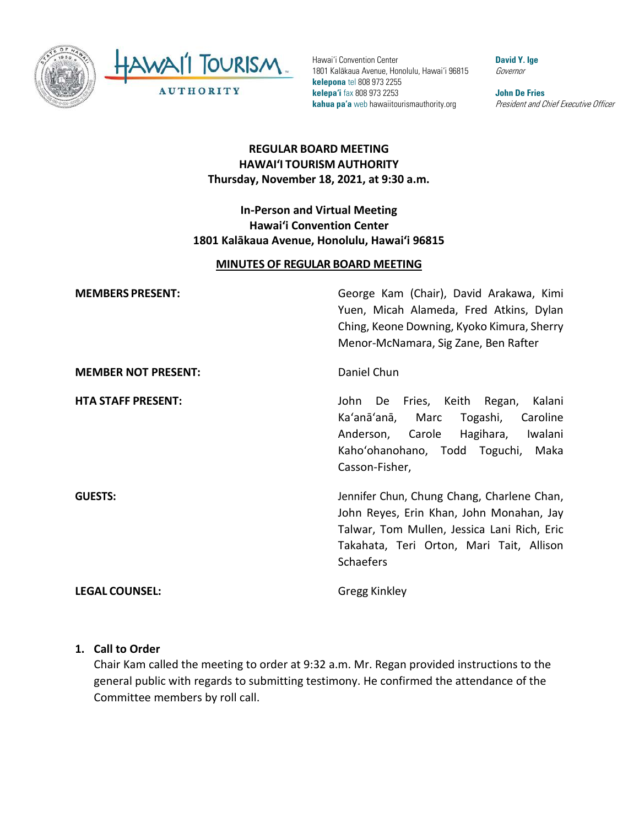

Hawai'i Convention Center 1801 Kalākaua Avenue, Honolulu, Hawai'i 96815 **kelepona** tel 808 973 2255 **kelepa'i** fax 808 973 2253 **kahua pa'a** web hawaiitourismauthority.org

**David Y. Ige** Governor

**John De Fries** President and Chief Executive Officer

# **REGULAR BOARD MEETING HAWAI'I TOURISM AUTHORITY Thursday, November 18, 2021, at 9:30 a.m.**

## **In-Person and Virtual Meeting Hawai'i Convention Center 1801 Kalākaua Avenue, Honolulu, Hawai'i 96815**

#### **MINUTES OF REGULAR BOARD MEETING**

**MEMBERS PRESENT:** George Kam (Chair), David Arakawa, Kimi Yuen, Micah Alameda, Fred Atkins, Dylan Ching, Keone Downing, Kyoko Kimura, Sherry Menor-McNamara, Sig Zane, Ben Rafter **MEMBER NOT PRESENT:** Daniel Chun

**HTA STAFF PRESENT:** John De Fries, Keith Regan, Kalani Ka'anā'anā, Marc Togashi, Caroline Anderson, Carole Hagihara, Iwalani Kaho'ohanohano, Todd Toguchi, Maka Casson-Fisher,

**GUESTS:** Jennifer Chun, Chung Chang, Charlene Chan, John Reyes, Erin Khan, John Monahan, Jay Talwar, Tom Mullen, Jessica Lani Rich, Eric Takahata, Teri Orton, Mari Tait, Allison **Schaefers** 

**LEGAL COUNSEL:** Gregg Kinkley

#### **1. Call to Order**

Chair Kam called the meeting to order at 9:32 a.m. Mr. Regan provided instructions to the general public with regards to submitting testimony. He confirmed the attendance of the Committee members by roll call.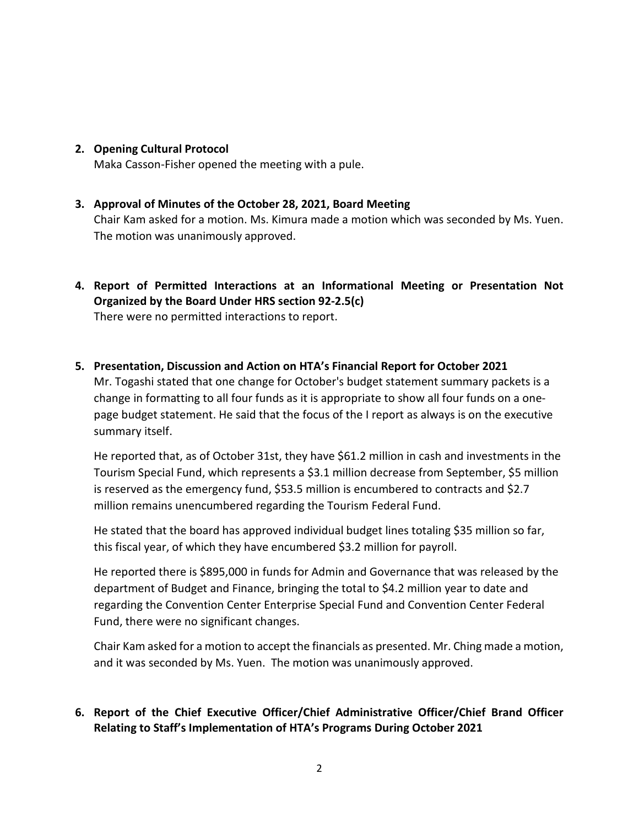**2. Opening Cultural Protocol**

Maka Casson-Fisher opened the meeting with a pule.

## **3. Approval of Minutes of the October 28, 2021, Board Meeting**

Chair Kam asked for a motion. Ms. Kimura made a motion which was seconded by Ms. Yuen. The motion was unanimously approved.

- **4. Report of Permitted Interactions at an Informational Meeting or Presentation Not Organized by the Board Under HRS section 92-2.5(c)** There were no permitted interactions to report.
- **5. Presentation, Discussion and Action on HTA's Financial Report for October 2021**

Mr. Togashi stated that one change for October's budget statement summary packets is a change in formatting to all four funds as it is appropriate to show all four funds on a onepage budget statement. He said that the focus of the I report as always is on the executive summary itself.

He reported that, as of October 31st, they have \$61.2 million in cash and investments in the Tourism Special Fund, which represents a \$3.1 million decrease from September, \$5 million is reserved as the emergency fund, \$53.5 million is encumbered to contracts and \$2.7 million remains unencumbered regarding the Tourism Federal Fund.

He stated that the board has approved individual budget lines totaling \$35 million so far, this fiscal year, of which they have encumbered \$3.2 million for payroll.

He reported there is \$895,000 in funds for Admin and Governance that was released by the department of Budget and Finance, bringing the total to \$4.2 million year to date and regarding the Convention Center Enterprise Special Fund and Convention Center Federal Fund, there were no significant changes.

Chair Kam asked for a motion to accept the financials as presented. Mr. Ching made a motion, and it was seconded by Ms. Yuen. The motion was unanimously approved.

## **6. Report of the Chief Executive Officer/Chief Administrative Officer/Chief Brand Officer Relating to Staff's Implementation of HTA's Programs During October 2021**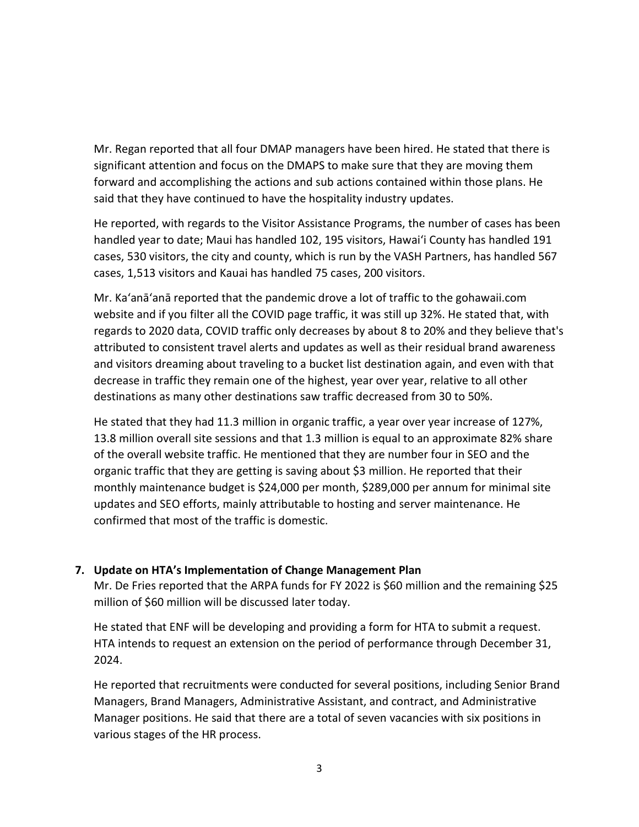Mr. Regan reported that all four DMAP managers have been hired. He stated that there is significant attention and focus on the DMAPS to make sure that they are moving them forward and accomplishing the actions and sub actions contained within those plans. He said that they have continued to have the hospitality industry updates.

He reported, with regards to the Visitor Assistance Programs, the number of cases has been handled year to date; Maui has handled 102, 195 visitors, Hawai'i County has handled 191 cases, 530 visitors, the city and county, which is run by the VASH Partners, has handled 567 cases, 1,513 visitors and Kauai has handled 75 cases, 200 visitors.

Mr. Ka'anā'anā reported that the pandemic drove a lot of traffic to the gohawaii.com website and if you filter all the COVID page traffic, it was still up 32%. He stated that, with regards to 2020 data, COVID traffic only decreases by about 8 to 20% and they believe that's attributed to consistent travel alerts and updates as well as their residual brand awareness and visitors dreaming about traveling to a bucket list destination again, and even with that decrease in traffic they remain one of the highest, year over year, relative to all other destinations as many other destinations saw traffic decreased from 30 to 50%.

He stated that they had 11.3 million in organic traffic, a year over year increase of 127%, 13.8 million overall site sessions and that 1.3 million is equal to an approximate 82% share of the overall website traffic. He mentioned that they are number four in SEO and the organic traffic that they are getting is saving about \$3 million. He reported that their monthly maintenance budget is \$24,000 per month, \$289,000 per annum for minimal site updates and SEO efforts, mainly attributable to hosting and server maintenance. He confirmed that most of the traffic is domestic.

## **7. Update on HTA's Implementation of Change Management Plan**

Mr. De Fries reported that the ARPA funds for FY 2022 is \$60 million and the remaining \$25 million of \$60 million will be discussed later today.

He stated that ENF will be developing and providing a form for HTA to submit a request. HTA intends to request an extension on the period of performance through December 31, 2024.

He reported that recruitments were conducted for several positions, including Senior Brand Managers, Brand Managers, Administrative Assistant, and contract, and Administrative Manager positions. He said that there are a total of seven vacancies with six positions in various stages of the HR process.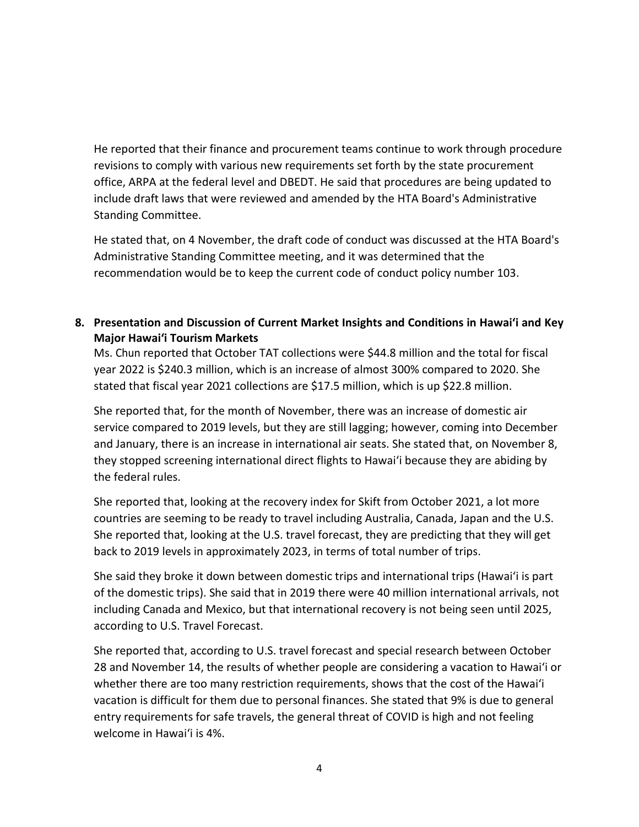He reported that their finance and procurement teams continue to work through procedure revisions to comply with various new requirements set forth by the state procurement office, ARPA at the federal level and DBEDT. He said that procedures are being updated to include draft laws that were reviewed and amended by the HTA Board's Administrative Standing Committee.

He stated that, on 4 November, the draft code of conduct was discussed at the HTA Board's Administrative Standing Committee meeting, and it was determined that the recommendation would be to keep the current code of conduct policy number 103.

**8. Presentation and Discussion of Current Market Insights and Conditions in Hawai'i and Key Major Hawai'i Tourism Markets**

Ms. Chun reported that October TAT collections were \$44.8 million and the total for fiscal year 2022 is \$240.3 million, which is an increase of almost 300% compared to 2020. She stated that fiscal year 2021 collections are \$17.5 million, which is up \$22.8 million.

She reported that, for the month of November, there was an increase of domestic air service compared to 2019 levels, but they are still lagging; however, coming into December and January, there is an increase in international air seats. She stated that, on November 8, they stopped screening international direct flights to Hawai'i because they are abiding by the federal rules.

She reported that, looking at the recovery index for Skift from October 2021, a lot more countries are seeming to be ready to travel including Australia, Canada, Japan and the U.S. She reported that, looking at the U.S. travel forecast, they are predicting that they will get back to 2019 levels in approximately 2023, in terms of total number of trips.

She said they broke it down between domestic trips and international trips (Hawai'i is part of the domestic trips). She said that in 2019 there were 40 million international arrivals, not including Canada and Mexico, but that international recovery is not being seen until 2025, according to U.S. Travel Forecast.

She reported that, according to U.S. travel forecast and special research between October 28 and November 14, the results of whether people are considering a vacation to Hawai'i or whether there are too many restriction requirements, shows that the cost of the Hawai'i vacation is difficult for them due to personal finances. She stated that 9% is due to general entry requirements for safe travels, the general threat of COVID is high and not feeling welcome in Hawai'i is 4%.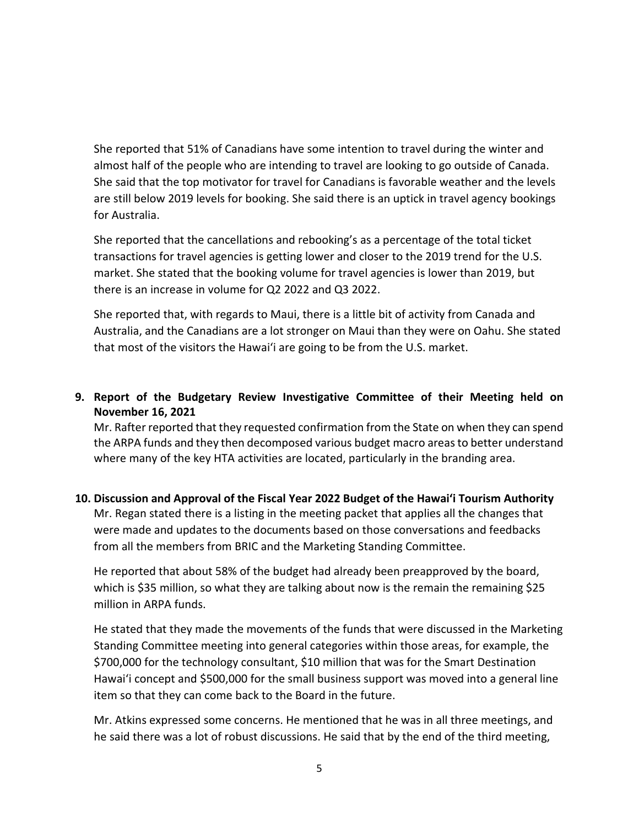She reported that 51% of Canadians have some intention to travel during the winter and almost half of the people who are intending to travel are looking to go outside of Canada. She said that the top motivator for travel for Canadians is favorable weather and the levels are still below 2019 levels for booking. She said there is an uptick in travel agency bookings for Australia.

She reported that the cancellations and rebooking's as a percentage of the total ticket transactions for travel agencies is getting lower and closer to the 2019 trend for the U.S. market. She stated that the booking volume for travel agencies is lower than 2019, but there is an increase in volume for Q2 2022 and Q3 2022.

She reported that, with regards to Maui, there is a little bit of activity from Canada and Australia, and the Canadians are a lot stronger on Maui than they were on Oahu. She stated that most of the visitors the Hawai'i are going to be from the U.S. market.

# **9. Report of the Budgetary Review Investigative Committee of their Meeting held on November 16, 2021**

Mr. Rafter reported that they requested confirmation from the State on when they can spend the ARPA funds and they then decomposed various budget macro areas to better understand where many of the key HTA activities are located, particularly in the branding area.

# **10. Discussion and Approval of the Fiscal Year 2022 Budget of the Hawai'i Tourism Authority**

Mr. Regan stated there is a listing in the meeting packet that applies all the changes that were made and updates to the documents based on those conversations and feedbacks from all the members from BRIC and the Marketing Standing Committee.

He reported that about 58% of the budget had already been preapproved by the board, which is \$35 million, so what they are talking about now is the remain the remaining \$25 million in ARPA funds.

He stated that they made the movements of the funds that were discussed in the Marketing Standing Committee meeting into general categories within those areas, for example, the \$700,000 for the technology consultant, \$10 million that was for the Smart Destination Hawai'i concept and \$500,000 for the small business support was moved into a general line item so that they can come back to the Board in the future.

Mr. Atkins expressed some concerns. He mentioned that he was in all three meetings, and he said there was a lot of robust discussions. He said that by the end of the third meeting,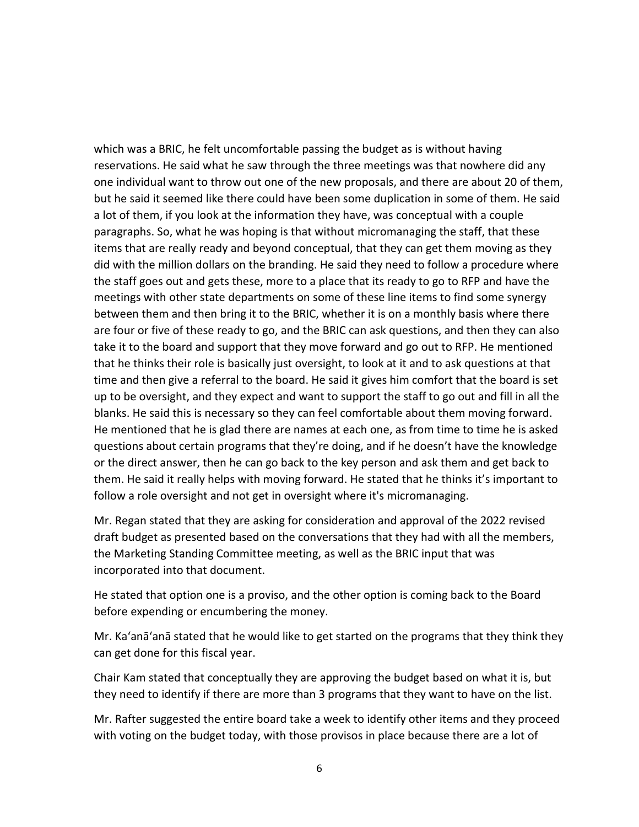which was a BRIC, he felt uncomfortable passing the budget as is without having reservations. He said what he saw through the three meetings was that nowhere did any one individual want to throw out one of the new proposals, and there are about 20 of them, but he said it seemed like there could have been some duplication in some of them. He said a lot of them, if you look at the information they have, was conceptual with a couple paragraphs. So, what he was hoping is that without micromanaging the staff, that these items that are really ready and beyond conceptual, that they can get them moving as they did with the million dollars on the branding. He said they need to follow a procedure where the staff goes out and gets these, more to a place that its ready to go to RFP and have the meetings with other state departments on some of these line items to find some synergy between them and then bring it to the BRIC, whether it is on a monthly basis where there are four or five of these ready to go, and the BRIC can ask questions, and then they can also take it to the board and support that they move forward and go out to RFP. He mentioned that he thinks their role is basically just oversight, to look at it and to ask questions at that time and then give a referral to the board. He said it gives him comfort that the board is set up to be oversight, and they expect and want to support the staff to go out and fill in all the blanks. He said this is necessary so they can feel comfortable about them moving forward. He mentioned that he is glad there are names at each one, as from time to time he is asked questions about certain programs that they're doing, and if he doesn't have the knowledge or the direct answer, then he can go back to the key person and ask them and get back to them. He said it really helps with moving forward. He stated that he thinks it's important to follow a role oversight and not get in oversight where it's micromanaging.

Mr. Regan stated that they are asking for consideration and approval of the 2022 revised draft budget as presented based on the conversations that they had with all the members, the Marketing Standing Committee meeting, as well as the BRIC input that was incorporated into that document.

He stated that option one is a proviso, and the other option is coming back to the Board before expending or encumbering the money.

Mr. Ka'anā'anā stated that he would like to get started on the programs that they think they can get done for this fiscal year.

Chair Kam stated that conceptually they are approving the budget based on what it is, but they need to identify if there are more than 3 programs that they want to have on the list.

Mr. Rafter suggested the entire board take a week to identify other items and they proceed with voting on the budget today, with those provisos in place because there are a lot of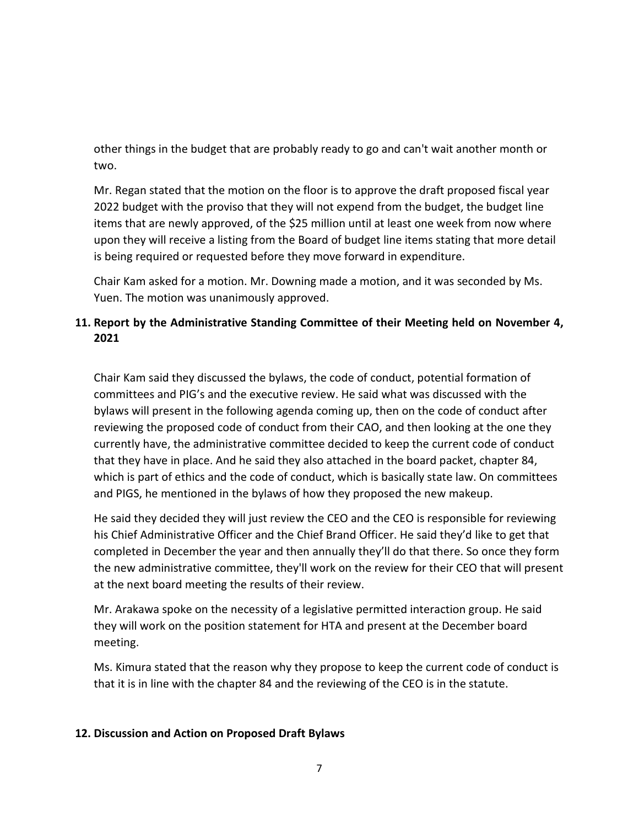other things in the budget that are probably ready to go and can't wait another month or two.

Mr. Regan stated that the motion on the floor is to approve the draft proposed fiscal year 2022 budget with the proviso that they will not expend from the budget, the budget line items that are newly approved, of the \$25 million until at least one week from now where upon they will receive a listing from the Board of budget line items stating that more detail is being required or requested before they move forward in expenditure.

Chair Kam asked for a motion. Mr. Downing made a motion, and it was seconded by Ms. Yuen. The motion was unanimously approved.

# **11. Report by the Administrative Standing Committee of their Meeting held on November 4, 2021**

Chair Kam said they discussed the bylaws, the code of conduct, potential formation of committees and PIG's and the executive review. He said what was discussed with the bylaws will present in the following agenda coming up, then on the code of conduct after reviewing the proposed code of conduct from their CAO, and then looking at the one they currently have, the administrative committee decided to keep the current code of conduct that they have in place. And he said they also attached in the board packet, chapter 84, which is part of ethics and the code of conduct, which is basically state law. On committees and PIGS, he mentioned in the bylaws of how they proposed the new makeup.

He said they decided they will just review the CEO and the CEO is responsible for reviewing his Chief Administrative Officer and the Chief Brand Officer. He said they'd like to get that completed in December the year and then annually they'll do that there. So once they form the new administrative committee, they'll work on the review for their CEO that will present at the next board meeting the results of their review.

Mr. Arakawa spoke on the necessity of a legislative permitted interaction group. He said they will work on the position statement for HTA and present at the December board meeting.

Ms. Kimura stated that the reason why they propose to keep the current code of conduct is that it is in line with the chapter 84 and the reviewing of the CEO is in the statute.

#### **12. Discussion and Action on Proposed Draft Bylaws**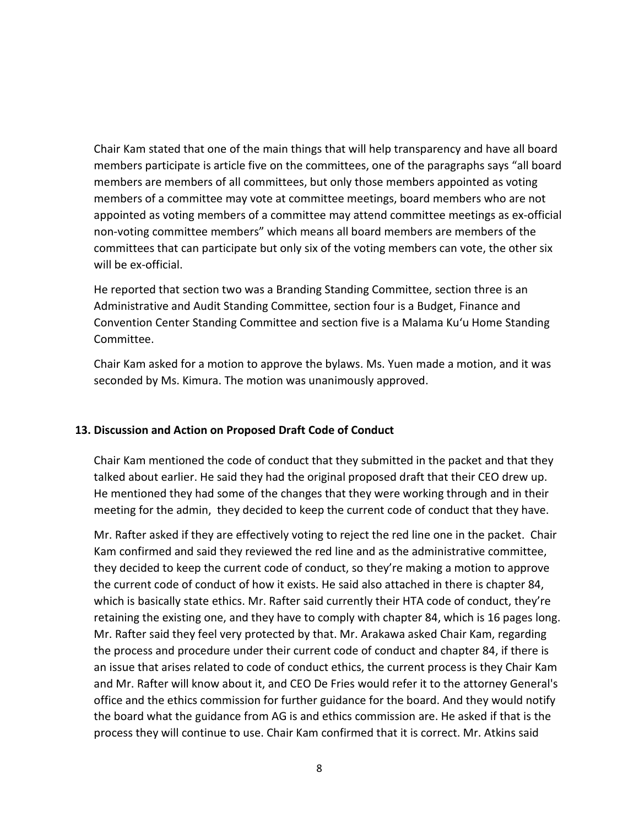Chair Kam stated that one of the main things that will help transparency and have all board members participate is article five on the committees, one of the paragraphs says "all board members are members of all committees, but only those members appointed as voting members of a committee may vote at committee meetings, board members who are not appointed as voting members of a committee may attend committee meetings as ex-official non-voting committee members" which means all board members are members of the committees that can participate but only six of the voting members can vote, the other six will be ex-official.

He reported that section two was a Branding Standing Committee, section three is an Administrative and Audit Standing Committee, section four is a Budget, Finance and Convention Center Standing Committee and section five is a Malama Ku'u Home Standing Committee.

Chair Kam asked for a motion to approve the bylaws. Ms. Yuen made a motion, and it was seconded by Ms. Kimura. The motion was unanimously approved.

## **13. Discussion and Action on Proposed Draft Code of Conduct**

Chair Kam mentioned the code of conduct that they submitted in the packet and that they talked about earlier. He said they had the original proposed draft that their CEO drew up. He mentioned they had some of the changes that they were working through and in their meeting for the admin, they decided to keep the current code of conduct that they have.

Mr. Rafter asked if they are effectively voting to reject the red line one in the packet. Chair Kam confirmed and said they reviewed the red line and as the administrative committee, they decided to keep the current code of conduct, so they're making a motion to approve the current code of conduct of how it exists. He said also attached in there is chapter 84, which is basically state ethics. Mr. Rafter said currently their HTA code of conduct, they're retaining the existing one, and they have to comply with chapter 84, which is 16 pages long. Mr. Rafter said they feel very protected by that. Mr. Arakawa asked Chair Kam, regarding the process and procedure under their current code of conduct and chapter 84, if there is an issue that arises related to code of conduct ethics, the current process is they Chair Kam and Mr. Rafter will know about it, and CEO De Fries would refer it to the attorney General's office and the ethics commission for further guidance for the board. And they would notify the board what the guidance from AG is and ethics commission are. He asked if that is the process they will continue to use. Chair Kam confirmed that it is correct. Mr. Atkins said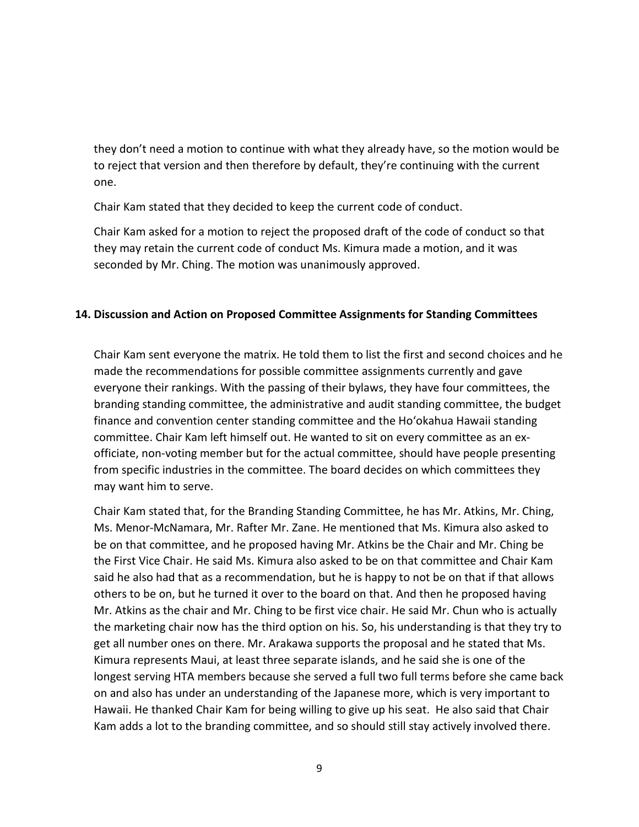they don't need a motion to continue with what they already have, so the motion would be to reject that version and then therefore by default, they're continuing with the current one.

Chair Kam stated that they decided to keep the current code of conduct.

Chair Kam asked for a motion to reject the proposed draft of the code of conduct so that they may retain the current code of conduct Ms. Kimura made a motion, and it was seconded by Mr. Ching. The motion was unanimously approved.

#### **14. Discussion and Action on Proposed Committee Assignments for Standing Committees**

Chair Kam sent everyone the matrix. He told them to list the first and second choices and he made the recommendations for possible committee assignments currently and gave everyone their rankings. With the passing of their bylaws, they have four committees, the branding standing committee, the administrative and audit standing committee, the budget finance and convention center standing committee and the Ho'okahua Hawaii standing committee. Chair Kam left himself out. He wanted to sit on every committee as an exofficiate, non-voting member but for the actual committee, should have people presenting from specific industries in the committee. The board decides on which committees they may want him to serve.

Chair Kam stated that, for the Branding Standing Committee, he has Mr. Atkins, Mr. Ching, Ms. Menor-McNamara, Mr. Rafter Mr. Zane. He mentioned that Ms. Kimura also asked to be on that committee, and he proposed having Mr. Atkins be the Chair and Mr. Ching be the First Vice Chair. He said Ms. Kimura also asked to be on that committee and Chair Kam said he also had that as a recommendation, but he is happy to not be on that if that allows others to be on, but he turned it over to the board on that. And then he proposed having Mr. Atkins as the chair and Mr. Ching to be first vice chair. He said Mr. Chun who is actually the marketing chair now has the third option on his. So, his understanding is that they try to get all number ones on there. Mr. Arakawa supports the proposal and he stated that Ms. Kimura represents Maui, at least three separate islands, and he said she is one of the longest serving HTA members because she served a full two full terms before she came back on and also has under an understanding of the Japanese more, which is very important to Hawaii. He thanked Chair Kam for being willing to give up his seat. He also said that Chair Kam adds a lot to the branding committee, and so should still stay actively involved there.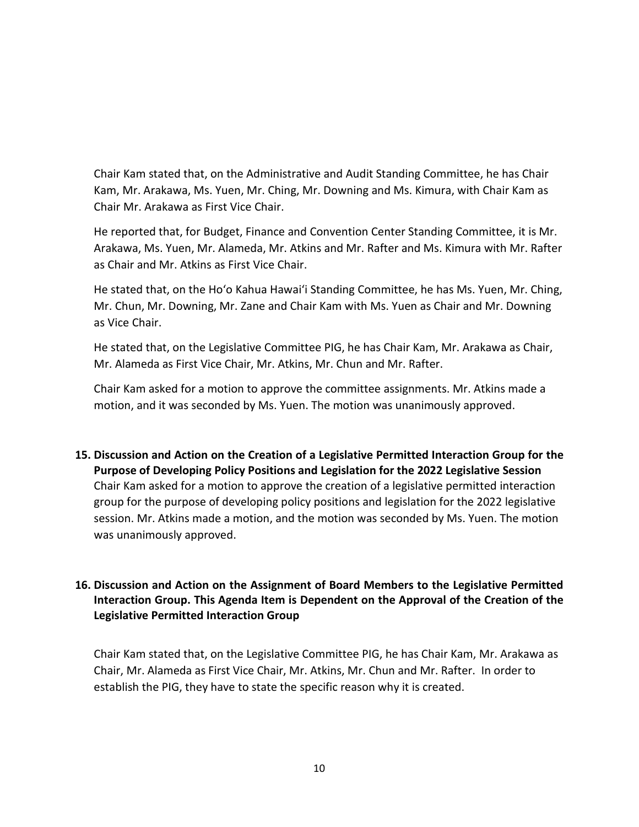Chair Kam stated that, on the Administrative and Audit Standing Committee, he has Chair Kam, Mr. Arakawa, Ms. Yuen, Mr. Ching, Mr. Downing and Ms. Kimura, with Chair Kam as Chair Mr. Arakawa as First Vice Chair.

He reported that, for Budget, Finance and Convention Center Standing Committee, it is Mr. Arakawa, Ms. Yuen, Mr. Alameda, Mr. Atkins and Mr. Rafter and Ms. Kimura with Mr. Rafter as Chair and Mr. Atkins as First Vice Chair.

He stated that, on the Ho'o Kahua Hawai'i Standing Committee, he has Ms. Yuen, Mr. Ching, Mr. Chun, Mr. Downing, Mr. Zane and Chair Kam with Ms. Yuen as Chair and Mr. Downing as Vice Chair.

He stated that, on the Legislative Committee PIG, he has Chair Kam, Mr. Arakawa as Chair, Mr. Alameda as First Vice Chair, Mr. Atkins, Mr. Chun and Mr. Rafter.

Chair Kam asked for a motion to approve the committee assignments. Mr. Atkins made a motion, and it was seconded by Ms. Yuen. The motion was unanimously approved.

**15. Discussion and Action on the Creation of a Legislative Permitted Interaction Group for the Purpose of Developing Policy Positions and Legislation for the 2022 Legislative Session** Chair Kam asked for a motion to approve the creation of a legislative permitted interaction group for the purpose of developing policy positions and legislation for the 2022 legislative session. Mr. Atkins made a motion, and the motion was seconded by Ms. Yuen. The motion was unanimously approved.

# **16. Discussion and Action on the Assignment of Board Members to the Legislative Permitted Interaction Group. This Agenda Item is Dependent on the Approval of the Creation of the Legislative Permitted Interaction Group**

Chair Kam stated that, on the Legislative Committee PIG, he has Chair Kam, Mr. Arakawa as Chair, Mr. Alameda as First Vice Chair, Mr. Atkins, Mr. Chun and Mr. Rafter. In order to establish the PIG, they have to state the specific reason why it is created.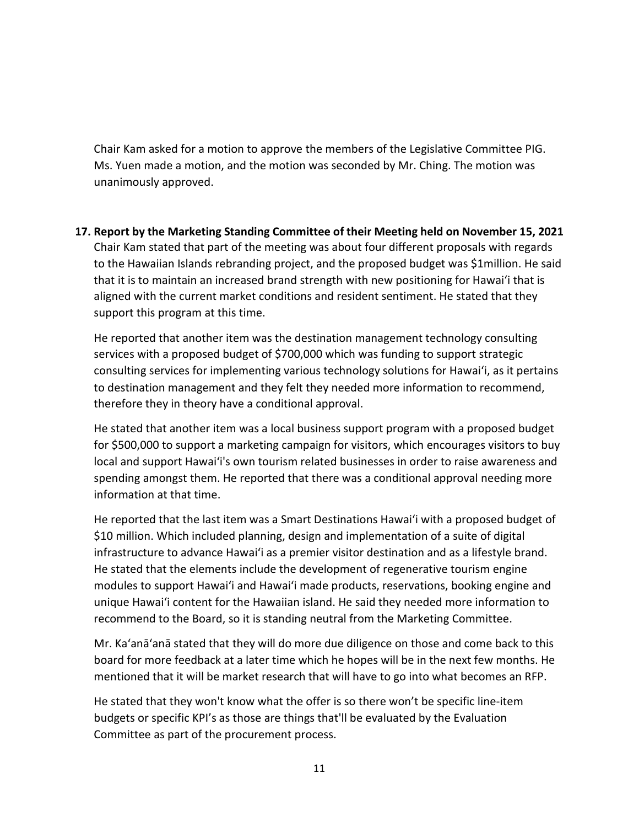Chair Kam asked for a motion to approve the members of the Legislative Committee PIG. Ms. Yuen made a motion, and the motion was seconded by Mr. Ching. The motion was unanimously approved.

**17. Report by the Marketing Standing Committee of their Meeting held on November 15, 2021** Chair Kam stated that part of the meeting was about four different proposals with regards to the Hawaiian Islands rebranding project, and the proposed budget was \$1million. He said that it is to maintain an increased brand strength with new positioning for Hawai'i that is aligned with the current market conditions and resident sentiment. He stated that they support this program at this time.

He reported that another item was the destination management technology consulting services with a proposed budget of \$700,000 which was funding to support strategic consulting services for implementing various technology solutions for Hawai'i, as it pertains to destination management and they felt they needed more information to recommend, therefore they in theory have a conditional approval.

He stated that another item was a local business support program with a proposed budget for \$500,000 to support a marketing campaign for visitors, which encourages visitors to buy local and support Hawai'i's own tourism related businesses in order to raise awareness and spending amongst them. He reported that there was a conditional approval needing more information at that time.

He reported that the last item was a Smart Destinations Hawai'i with a proposed budget of \$10 million. Which included planning, design and implementation of a suite of digital infrastructure to advance Hawai'i as a premier visitor destination and as a lifestyle brand. He stated that the elements include the development of regenerative tourism engine modules to support Hawai'i and Hawai'i made products, reservations, booking engine and unique Hawai'i content for the Hawaiian island. He said they needed more information to recommend to the Board, so it is standing neutral from the Marketing Committee.

Mr. Ka'anā'anā stated that they will do more due diligence on those and come back to this board for more feedback at a later time which he hopes will be in the next few months. He mentioned that it will be market research that will have to go into what becomes an RFP.

He stated that they won't know what the offer is so there won't be specific line-item budgets or specific KPI's as those are things that'll be evaluated by the Evaluation Committee as part of the procurement process.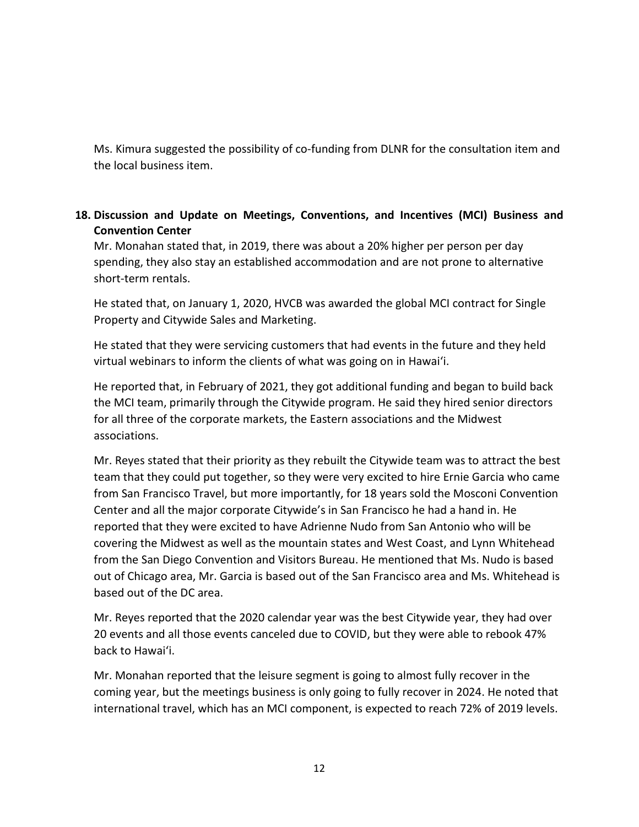Ms. Kimura suggested the possibility of co-funding from DLNR for the consultation item and the local business item.

## **18. Discussion and Update on Meetings, Conventions, and Incentives (MCI) Business and Convention Center**

Mr. Monahan stated that, in 2019, there was about a 20% higher per person per day spending, they also stay an established accommodation and are not prone to alternative short-term rentals.

He stated that, on January 1, 2020, HVCB was awarded the global MCI contract for Single Property and Citywide Sales and Marketing.

He stated that they were servicing customers that had events in the future and they held virtual webinars to inform the clients of what was going on in Hawai'i.

He reported that, in February of 2021, they got additional funding and began to build back the MCI team, primarily through the Citywide program. He said they hired senior directors for all three of the corporate markets, the Eastern associations and the Midwest associations.

Mr. Reyes stated that their priority as they rebuilt the Citywide team was to attract the best team that they could put together, so they were very excited to hire Ernie Garcia who came from San Francisco Travel, but more importantly, for 18 years sold the Mosconi Convention Center and all the major corporate Citywide's in San Francisco he had a hand in. He reported that they were excited to have Adrienne Nudo from San Antonio who will be covering the Midwest as well as the mountain states and West Coast, and Lynn Whitehead from the San Diego Convention and Visitors Bureau. He mentioned that Ms. Nudo is based out of Chicago area, Mr. Garcia is based out of the San Francisco area and Ms. Whitehead is based out of the DC area.

Mr. Reyes reported that the 2020 calendar year was the best Citywide year, they had over 20 events and all those events canceled due to COVID, but they were able to rebook 47% back to Hawai'i.

Mr. Monahan reported that the leisure segment is going to almost fully recover in the coming year, but the meetings business is only going to fully recover in 2024. He noted that international travel, which has an MCI component, is expected to reach 72% of 2019 levels.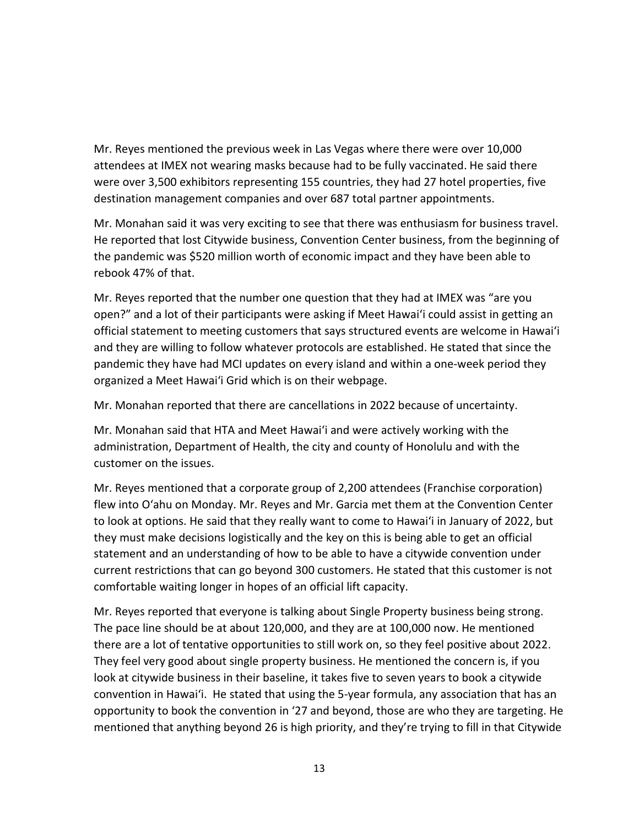Mr. Reyes mentioned the previous week in Las Vegas where there were over 10,000 attendees at IMEX not wearing masks because had to be fully vaccinated. He said there were over 3,500 exhibitors representing 155 countries, they had 27 hotel properties, five destination management companies and over 687 total partner appointments.

Mr. Monahan said it was very exciting to see that there was enthusiasm for business travel. He reported that lost Citywide business, Convention Center business, from the beginning of the pandemic was \$520 million worth of economic impact and they have been able to rebook 47% of that.

Mr. Reyes reported that the number one question that they had at IMEX was "are you open?" and a lot of their participants were asking if Meet Hawai'i could assist in getting an official statement to meeting customers that says structured events are welcome in Hawai'i and they are willing to follow whatever protocols are established. He stated that since the pandemic they have had MCI updates on every island and within a one-week period they organized a Meet Hawai'i Grid which is on their webpage.

Mr. Monahan reported that there are cancellations in 2022 because of uncertainty.

Mr. Monahan said that HTA and Meet Hawai'i and were actively working with the administration, Department of Health, the city and county of Honolulu and with the customer on the issues.

Mr. Reyes mentioned that a corporate group of 2,200 attendees (Franchise corporation) flew into O'ahu on Monday. Mr. Reyes and Mr. Garcia met them at the Convention Center to look at options. He said that they really want to come to Hawai'i in January of 2022, but they must make decisions logistically and the key on this is being able to get an official statement and an understanding of how to be able to have a citywide convention under current restrictions that can go beyond 300 customers. He stated that this customer is not comfortable waiting longer in hopes of an official lift capacity.

Mr. Reyes reported that everyone is talking about Single Property business being strong. The pace line should be at about 120,000, and they are at 100,000 now. He mentioned there are a lot of tentative opportunities to still work on, so they feel positive about 2022. They feel very good about single property business. He mentioned the concern is, if you look at citywide business in their baseline, it takes five to seven years to book a citywide convention in Hawai'i. He stated that using the 5-year formula, any association that has an opportunity to book the convention in '27 and beyond, those are who they are targeting. He mentioned that anything beyond 26 is high priority, and they're trying to fill in that Citywide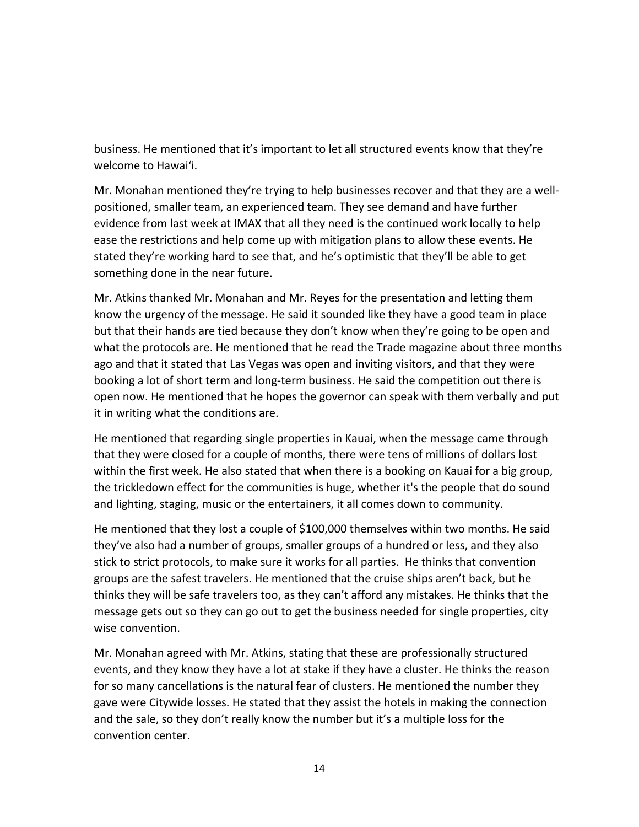business. He mentioned that it's important to let all structured events know that they're welcome to Hawai'i.

Mr. Monahan mentioned they're trying to help businesses recover and that they are a wellpositioned, smaller team, an experienced team. They see demand and have further evidence from last week at IMAX that all they need is the continued work locally to help ease the restrictions and help come up with mitigation plans to allow these events. He stated they're working hard to see that, and he's optimistic that they'll be able to get something done in the near future.

Mr. Atkins thanked Mr. Monahan and Mr. Reyes for the presentation and letting them know the urgency of the message. He said it sounded like they have a good team in place but that their hands are tied because they don't know when they're going to be open and what the protocols are. He mentioned that he read the Trade magazine about three months ago and that it stated that Las Vegas was open and inviting visitors, and that they were booking a lot of short term and long-term business. He said the competition out there is open now. He mentioned that he hopes the governor can speak with them verbally and put it in writing what the conditions are.

He mentioned that regarding single properties in Kauai, when the message came through that they were closed for a couple of months, there were tens of millions of dollars lost within the first week. He also stated that when there is a booking on Kauai for a big group, the trickledown effect for the communities is huge, whether it's the people that do sound and lighting, staging, music or the entertainers, it all comes down to community.

He mentioned that they lost a couple of \$100,000 themselves within two months. He said they've also had a number of groups, smaller groups of a hundred or less, and they also stick to strict protocols, to make sure it works for all parties. He thinks that convention groups are the safest travelers. He mentioned that the cruise ships aren't back, but he thinks they will be safe travelers too, as they can't afford any mistakes. He thinks that the message gets out so they can go out to get the business needed for single properties, city wise convention.

Mr. Monahan agreed with Mr. Atkins, stating that these are professionally structured events, and they know they have a lot at stake if they have a cluster. He thinks the reason for so many cancellations is the natural fear of clusters. He mentioned the number they gave were Citywide losses. He stated that they assist the hotels in making the connection and the sale, so they don't really know the number but it's a multiple loss for the convention center.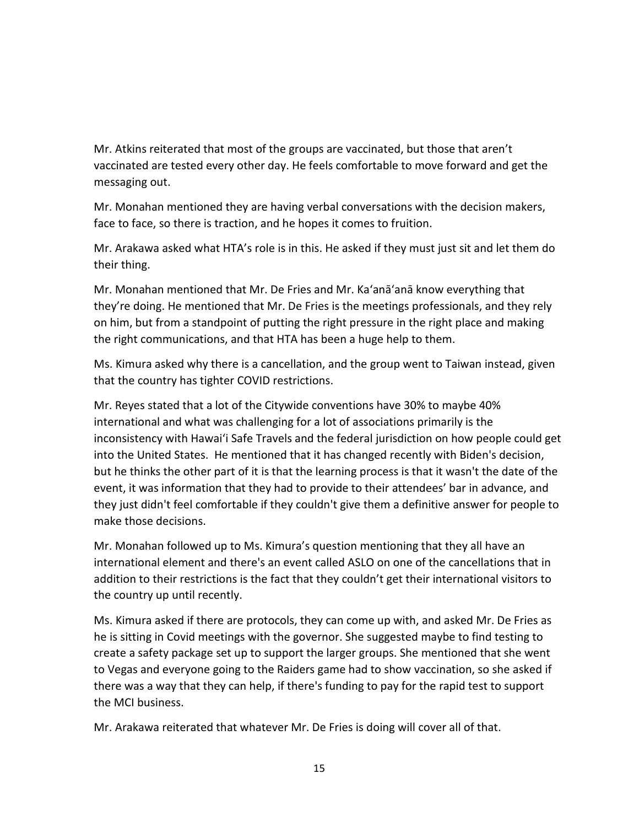Mr. Atkins reiterated that most of the groups are vaccinated, but those that aren't vaccinated are tested every other day. He feels comfortable to move forward and get the messaging out.

Mr. Monahan mentioned they are having verbal conversations with the decision makers, face to face, so there is traction, and he hopes it comes to fruition.

Mr. Arakawa asked what HTA's role is in this. He asked if they must just sit and let them do their thing.

Mr. Monahan mentioned that Mr. De Fries and Mr. Ka'anā'anā know everything that they're doing. He mentioned that Mr. De Fries is the meetings professionals, and they rely on him, but from a standpoint of putting the right pressure in the right place and making the right communications, and that HTA has been a huge help to them.

Ms. Kimura asked why there is a cancellation, and the group went to Taiwan instead, given that the country has tighter COVID restrictions.

Mr. Reyes stated that a lot of the Citywide conventions have 30% to maybe 40% international and what was challenging for a lot of associations primarily is the inconsistency with Hawai'i Safe Travels and the federal jurisdiction on how people could get into the United States. He mentioned that it has changed recently with Biden's decision, but he thinks the other part of it is that the learning process is that it wasn't the date of the event, it was information that they had to provide to their attendees' bar in advance, and they just didn't feel comfortable if they couldn't give them a definitive answer for people to make those decisions.

Mr. Monahan followed up to Ms. Kimura's question mentioning that they all have an international element and there's an event called ASLO on one of the cancellations that in addition to their restrictions is the fact that they couldn't get their international visitors to the country up until recently.

Ms. Kimura asked if there are protocols, they can come up with, and asked Mr. De Fries as he is sitting in Covid meetings with the governor. She suggested maybe to find testing to create a safety package set up to support the larger groups. She mentioned that she went to Vegas and everyone going to the Raiders game had to show vaccination, so she asked if there was a way that they can help, if there's funding to pay for the rapid test to support the MCI business.

Mr. Arakawa reiterated that whatever Mr. De Fries is doing will cover all of that.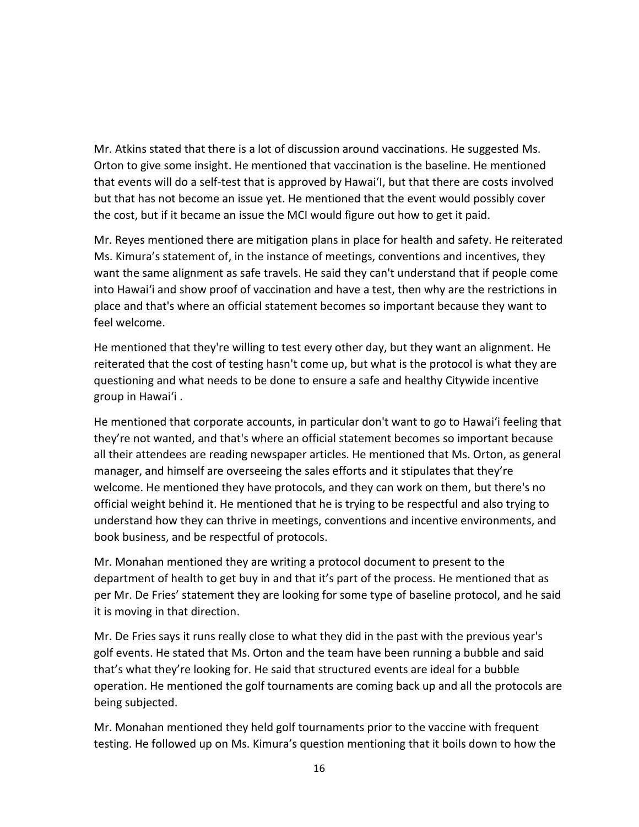Mr. Atkins stated that there is a lot of discussion around vaccinations. He suggested Ms. Orton to give some insight. He mentioned that vaccination is the baseline. He mentioned that events will do a self-test that is approved by Hawai'I, but that there are costs involved but that has not become an issue yet. He mentioned that the event would possibly cover the cost, but if it became an issue the MCI would figure out how to get it paid.

Mr. Reyes mentioned there are mitigation plans in place for health and safety. He reiterated Ms. Kimura's statement of, in the instance of meetings, conventions and incentives, they want the same alignment as safe travels. He said they can't understand that if people come into Hawai'i and show proof of vaccination and have a test, then why are the restrictions in place and that's where an official statement becomes so important because they want to feel welcome.

He mentioned that they're willing to test every other day, but they want an alignment. He reiterated that the cost of testing hasn't come up, but what is the protocol is what they are questioning and what needs to be done to ensure a safe and healthy Citywide incentive group in Hawai'i .

He mentioned that corporate accounts, in particular don't want to go to Hawai'i feeling that they're not wanted, and that's where an official statement becomes so important because all their attendees are reading newspaper articles. He mentioned that Ms. Orton, as general manager, and himself are overseeing the sales efforts and it stipulates that they're welcome. He mentioned they have protocols, and they can work on them, but there's no official weight behind it. He mentioned that he is trying to be respectful and also trying to understand how they can thrive in meetings, conventions and incentive environments, and book business, and be respectful of protocols.

Mr. Monahan mentioned they are writing a protocol document to present to the department of health to get buy in and that it's part of the process. He mentioned that as per Mr. De Fries' statement they are looking for some type of baseline protocol, and he said it is moving in that direction.

Mr. De Fries says it runs really close to what they did in the past with the previous year's golf events. He stated that Ms. Orton and the team have been running a bubble and said that's what they're looking for. He said that structured events are ideal for a bubble operation. He mentioned the golf tournaments are coming back up and all the protocols are being subjected.

Mr. Monahan mentioned they held golf tournaments prior to the vaccine with frequent testing. He followed up on Ms. Kimura's question mentioning that it boils down to how the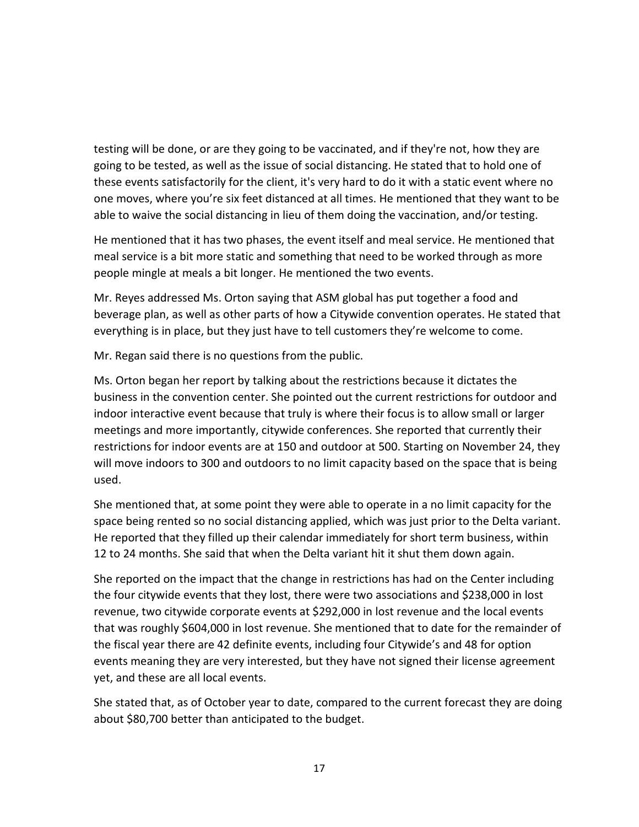testing will be done, or are they going to be vaccinated, and if they're not, how they are going to be tested, as well as the issue of social distancing. He stated that to hold one of these events satisfactorily for the client, it's very hard to do it with a static event where no one moves, where you're six feet distanced at all times. He mentioned that they want to be able to waive the social distancing in lieu of them doing the vaccination, and/or testing.

He mentioned that it has two phases, the event itself and meal service. He mentioned that meal service is a bit more static and something that need to be worked through as more people mingle at meals a bit longer. He mentioned the two events.

Mr. Reyes addressed Ms. Orton saying that ASM global has put together a food and beverage plan, as well as other parts of how a Citywide convention operates. He stated that everything is in place, but they just have to tell customers they're welcome to come.

Mr. Regan said there is no questions from the public.

Ms. Orton began her report by talking about the restrictions because it dictates the business in the convention center. She pointed out the current restrictions for outdoor and indoor interactive event because that truly is where their focus is to allow small or larger meetings and more importantly, citywide conferences. She reported that currently their restrictions for indoor events are at 150 and outdoor at 500. Starting on November 24, they will move indoors to 300 and outdoors to no limit capacity based on the space that is being used.

She mentioned that, at some point they were able to operate in a no limit capacity for the space being rented so no social distancing applied, which was just prior to the Delta variant. He reported that they filled up their calendar immediately for short term business, within 12 to 24 months. She said that when the Delta variant hit it shut them down again.

She reported on the impact that the change in restrictions has had on the Center including the four citywide events that they lost, there were two associations and \$238,000 in lost revenue, two citywide corporate events at \$292,000 in lost revenue and the local events that was roughly \$604,000 in lost revenue. She mentioned that to date for the remainder of the fiscal year there are 42 definite events, including four Citywide's and 48 for option events meaning they are very interested, but they have not signed their license agreement yet, and these are all local events.

She stated that, as of October year to date, compared to the current forecast they are doing about \$80,700 better than anticipated to the budget.